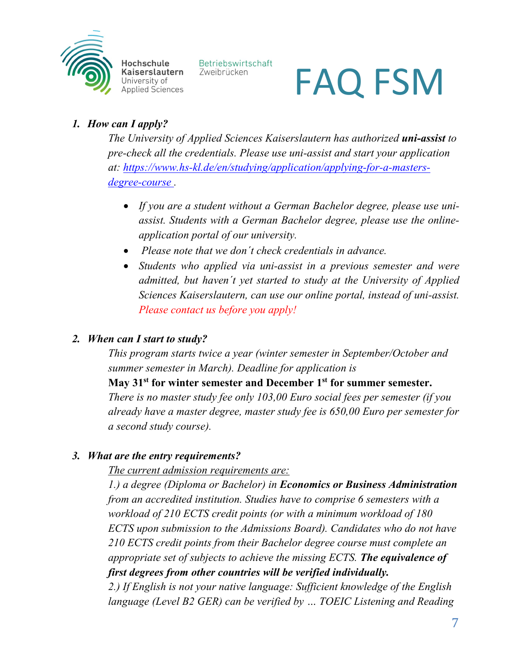

FAQ FSM

#### *1. How can I apply?*

*The University of Applied Sciences Kaiserslautern has authorized uni-assist to pre-check all the credentials. Please use uni-assist and start your application at: [https://www.hs-kl.de/en/studying/application/applying-for-a-masters](https://www.hs-kl.de/en/studying/application/applying-for-a-masters-degree-course)[degree-course](https://www.hs-kl.de/en/studying/application/applying-for-a-masters-degree-course) .*

- *If you are a student without a German Bachelor degree, please use uniassist. Students with a German Bachelor degree, please use the onlineapplication portal of our university.*
- *Please note that we don´t check credentials in advance.*

Betriebswirtschaft

Zweibrücken

• *Students who applied via uni-assist in a previous semester and were admitted, but haven´t yet started to study at the University of Applied Sciences Kaiserslautern, can use our online portal, instead of uni-assist. Please contact us before you apply!*

#### *2. When can I start to study?*

*This program starts twice a year (winter semester in September/October and summer semester in March). Deadline for application is* 

**May 31st for winter semester and December 1st for summer semester.** *There is no master study fee only 103,00 Euro social fees per semester (if you already have a master degree, master study fee is 650,00 Euro per semester for a second study course).*

#### *3. What are the entry requirements?*

*The current admission requirements are:*

*1.) a degree (Diploma or Bachelor) in Economics or Business Administration from an accredited institution. Studies have to comprise 6 semesters with a workload of 210 ECTS credit points (or with a minimum workload of 180 ECTS upon submission to the Admissions Board). Candidates who do not have 210 ECTS credit points from their Bachelor degree course must complete an appropriate set of subjects to achieve the missing ECTS. The equivalence of first degrees from other countries will be verified individually.*

*2.) If English is not your native language: Sufficient knowledge of the English language (Level B2 GER) can be verified by … TOEIC Listening and Reading*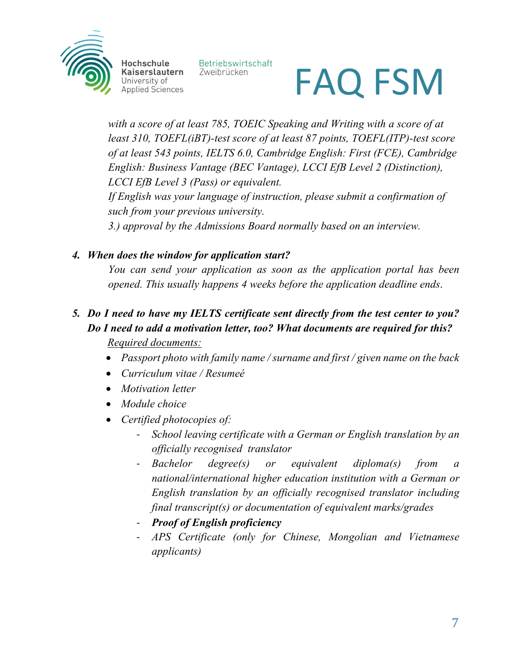

Betriebswirtschaft Zweibrücken



*with a score of at least 785, TOEIC Speaking and Writing with a score of at least 310, TOEFL(iBT)-test score of at least 87 points, TOEFL(ITP)-test score of at least 543 points, IELTS 6.0, Cambridge English: First (FCE), Cambridge English: Business Vantage (BEC Vantage), LCCI EfB Level 2 (Distinction), LCCI EfB Level 3 (Pass) or equivalent. If English was your language of instruction, please submit a confirmation of such from your previous university.*

*3.) approval by the Admissions Board normally based on an interview.*

#### *4. When does the window for application start?*

*You can send your application as soon as the application portal has been opened. This usually happens 4 weeks before the application deadline ends*.

#### *5. Do I need to have my IELTS certificate sent directly from the test center to you? Do I need to add a motivation letter, too? What documents are required for this? Required documents:*

- *Passport photo with family name / surname and first / given name on the back*
- *Curriculum vitae / Resumeé*
- *Motivation letter*
- *Module choice*
- *Certified photocopies of:*
	- *School leaving certificate with a German or English translation by an officially recognised translator*
	- *Bachelor degree(s) or equivalent diploma(s) from a national/international higher education institution with a German or English translation by an officially recognised translator including final transcript(s) or documentation of equivalent marks/grades*
	- *Proof of English proficiency*
	- *APS Certificate (only for Chinese, Mongolian and Vietnamese applicants)*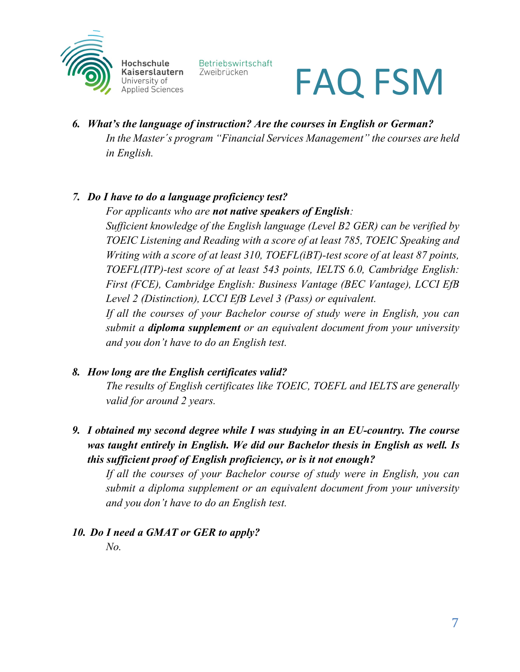

Betriebswirtschaft Zweibrücken

## FAQ FSM

*6. What's the language of instruction? Are the courses in English or German? In the Master´s program "Financial Services Management" the courses are held in English.* 

#### *7. Do I have to do a language proficiency test?*

*For applicants who are not native speakers of English:* 

*Sufficient knowledge of the English language (Level B2 GER) can be verified by TOEIC Listening and Reading with a score of at least 785, TOEIC Speaking and Writing with a score of at least 310, TOEFL(iBT)-test score of at least 87 points, TOEFL(ITP)-test score of at least 543 points, IELTS 6.0, Cambridge English: First (FCE), Cambridge English: Business Vantage (BEC Vantage), LCCI EfB Level 2 (Distinction), LCCI EfB Level 3 (Pass) or equivalent.* 

*If all the courses of your Bachelor course of study were in English, you can submit a diploma supplement or an equivalent document from your university and you don't have to do an English test.* 

#### *8. How long are the English certificates valid?*

*The results of English certificates like TOEIC, TOEFL and IELTS are generally valid for around 2 years.* 

*9. I obtained my second degree while I was studying in an EU-country. The course was taught entirely in English. We did our Bachelor thesis in English as well. Is this sufficient proof of English proficiency, or is it not enough?*

*If all the courses of your Bachelor course of study were in English, you can submit a diploma supplement or an equivalent document from your university and you don't have to do an English test.*

### *10. Do I need a GMAT or GER to apply?*

*No.*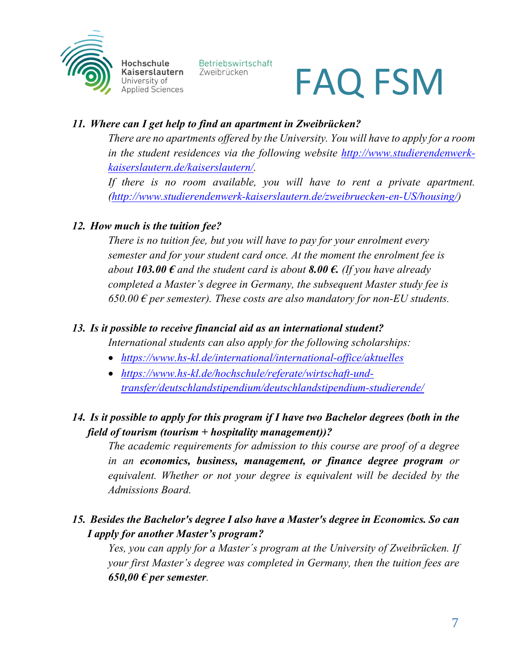

Betriebswirtschaft Zweibrücken

## FAQ FSM

#### *11. Where can I get help to find an apartment in Zweibrücken?*

*There are no apartments offered by the University. You will have to apply for a room in the student residences via the following website [http://www.studierendenwerk](about:blank)[kaiserslautern.de/kaiserslautern/.](about:blank)* 

*If there is no room available, you will have to rent a private apartment. [\(http://www.studierendenwerk-kaiserslautern.de/zweibruecken-en-US/housing/\)](about:blank)*

#### *12. How much is the tuition fee?*

*There is no tuition fee, but you will have to pay for your enrolment every semester and for your student card once. At the moment the enrolment fee is about 103.00*  $\epsilon$  *and the student card is about 8.00*  $\epsilon$ . *(If you have already about 103.00*  $\epsilon$ *completed a Master's degree in Germany, the subsequent Master study fee is 650.00 € per semester). These costs are also mandatory for non-EU students.*

#### *13. Is it possible to receive financial aid as an international student?*

*International students can also apply for the following scholarships:*

- *<https://www.hs-kl.de/international/international-office/aktuelles>*
- *[https://www.hs-kl.de/hochschule/referate/wirtschaft-und](about:blank)[transfer/deutschlandstipendium/deutschlandstipendium-studierende/](about:blank)*

#### *14. Is it possible to apply for this program if I have two Bachelor degrees (both in the field of tourism (tourism + hospitality management))?*

*The academic requirements for admission to this course are proof of a degree in an economics, business, management, or finance degree program or equivalent. Whether or not your degree is equivalent will be decided by the Admissions Board.*

#### *15. Besides the Bachelor's degree I also have a Master's degree in Economics. So can I apply for another Master's program?*

Yes, you can apply for a Master's program at the University of Zweibrücken. If *your first Master's degree was completed in Germany, then the tuition fees are*   $650,00 \text{ } \in$  per semester.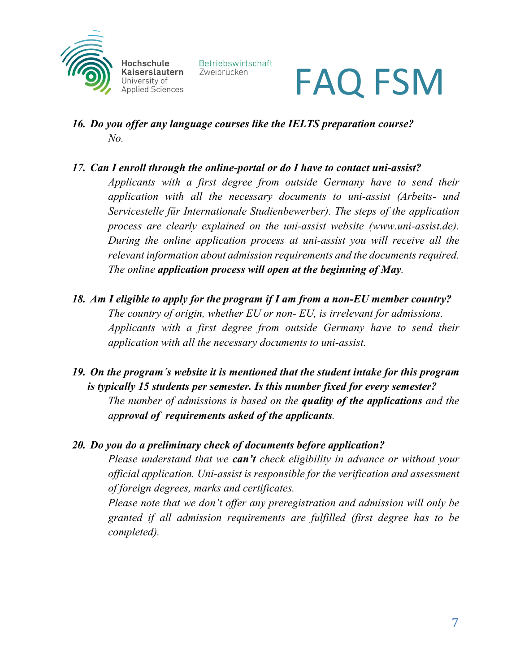

Betriebswirtschaft Zweibrücken



- *16. Do you offer any language courses like the IELTS preparation course? No.*
- *17. Can I enroll through the online-portal or do I have to contact uni-assist? Applicants with a first degree from outside Germany have to send their application with all the necessary documents to uni-assist (Arbeits- und Servicestelle für Internationale Studienbewerber). The steps of the application process are clearly explained on the uni-assist website (www.uni-assist.de). During the online application process at uni-assist you will receive all the relevant information about admission requirements and the documents required. The online application process will open at the beginning of May.*
- *18. Am I eligible to apply for the program if I am from a non-EU member country? The country of origin, whether EU or non- EU, is irrelevant for admissions. Applicants with a first degree from outside Germany have to send their application with all the necessary documents to uni-assist.*
- *19. On the program´s website it is mentioned that the student intake for this program is typically 15 students per semester. Is this number fixed for every semester? The number of admissions is based on the quality of the applications and the approval of requirements asked of the applicants.*

#### *20. Do you do a preliminary check of documents before application?*

*Please understand that we can't check eligibility in advance or without your official application. Uni-assist is responsible for the verification and assessment of foreign degrees, marks and certificates.*

*Please note that we don't offer any preregistration and admission will only be granted if all admission requirements are fulfilled (first degree has to be completed).*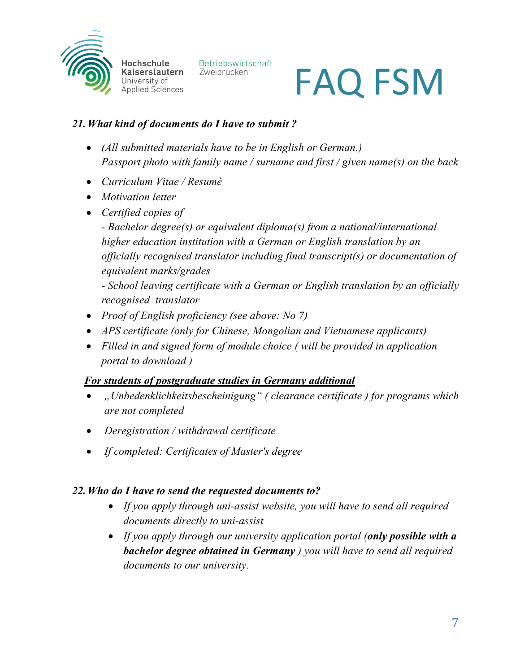

Betriebswirtschaft Zweibrücken

# FAQ FSM

#### *21.What kind of documents do I have to submit ?*

- *(All submitted materials have to be in English or German.) Passport photo with family name / surname and first / given name(s) on the back*
- *Curriculum Vitae / Resumè*
- *Motivation letter*
- *Certified copies of*

*- Bachelor degree(s) or equivalent diploma(s) from a national/international higher education institution with a German or English translation by an officially recognised translator including final transcript(s) or documentation of equivalent marks/grades*

*- School leaving certificate with a German or English translation by an officially recognised translator*

- *Proof of English proficiency (see above: No 7)*
- *APS certificate (only for Chinese, Mongolian and Vietnamese applicants)*
- *Filled in and signed form of module choice ( will be provided in application portal to download )*

#### *For students of postgraduate studies in Germany additional*

- *"Unbedenklichkeitsbescheinigung" ( clearance certificate ) for programs which are not completed*
- *Deregistration / withdrawal certificate*
- *If completed: Certificates of Master's degree*

#### *22.Who do I have to send the requested documents to?*

- *If you apply through uni-assist website, you will have to send all required documents directly to uni-assist*
- *If you apply through our university application portal (only possible with a bachelor degree obtained in Germany ) you will have to send all required documents to our university.*